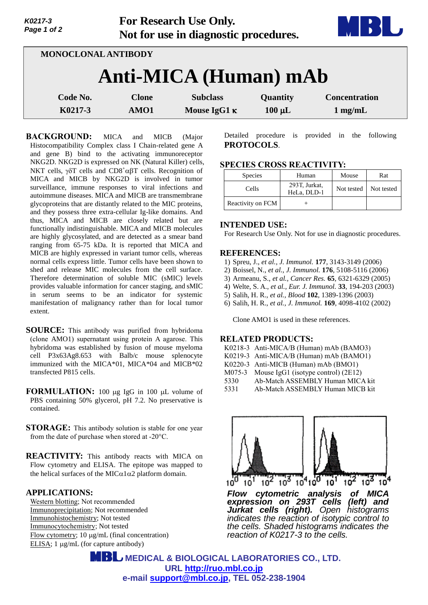| K0217-3<br>Page 1 of 2 |              | <b>For Research Use Only.</b><br>Not for use in diagnostic procedures. |             | MBI                  |
|------------------------|--------------|------------------------------------------------------------------------|-------------|----------------------|
| MONOCLONAL ANTIBODY    |              |                                                                        |             |                      |
|                        |              | Anti-MICA (Human) mAb                                                  |             |                      |
| Code No.               | <b>Clone</b> | <b>Subclass</b>                                                        | Quantity    | <b>Concentration</b> |
| K0217-3                | AMO1         | Mouse IgG1 $\kappa$                                                    | $100 \mu L$ | $1$ mg/mL            |

**BACKGROUND:** MICA and MICB (Major Histocompatibility Complex class I Chain-related gene A and gene B) bind to the activating immunoreceptor NKG2D. NKG2D is expressed on NK (Natural Killer) cells, NKT cells,  $\gamma \delta T$  cells and CD8<sup>+</sup> $\alpha \beta T$  cells. Recognition of MICA and MICB by NKG2D is involved in tumor surveillance, immune responses to viral infections and autoimmune diseases. MICA and MICB are transmembrane glycoproteins that are distantly related to the MIC proteins, and they possess three extra-cellular Ig-like domains. And thus, MICA and MICB are closely related but are functionally indistinguishable. MICA and MICB molecules are highly glycosylated, and are detected as a smear band ranging from 65-75 kDa. It is reported that MICA and MICB are highly expressed in variant tumor cells, whereas normal cells express little. Tumor cells have been shown to shed and release MIC molecules from the cell surface. Therefore determination of soluble MIC (sMIC) levels provides valuable information for cancer staging, and sMIC in serum seems to be an indicator for systemic manifestation of malignancy rather than for local tumor extent.

**SOURCE:** This antibody was purified from hybridoma (clone AMO1) supernatant using protein A agarose. This hybridoma was established by fusion of mouse myeloma cell P3x63Ag8.653 with Balb/c mouse splenocyte immunized with the MICA\*01, MICA\*04 and MICB\*02 transfected P815 cells.

**FORMULATION:** 100 µg IgG in 100 µL volume of PBS containing 50% glycerol, pH 7.2. No preservative is contained.

- **STORAGE:** This antibody solution is stable for one year from the date of purchase when stored at -20°C.
- **REACTIVITY:** This antibody reacts with MICA on Flow cytometry and ELISA. The epitope was mapped to the helical surfaces of the MIC $\alpha$ 1 $\alpha$ 2 platform domain.

### **APPLICATIONS:**

Western blotting; Not recommended Immunoprecipitation; Not recommended Immunohistochemistry; Not tested Immunocytochemistry; Not tested Flow cytometry;  $10 \mu g/mL$  (final concentration) ELISA;  $1 \mu g/mL$  (for capture antibody)

Detailed procedure is provided in the following **PROTOCOLS**.

## **SPECIES CROSS REACTIVITY:**

| <b>Species</b>    | Human                        | Mouse      | Rat        |
|-------------------|------------------------------|------------|------------|
| Cells             | 293T, Jurkat,<br>HeLa, DLD-1 | Not tested | Not tested |
| Reactivity on FCM |                              |            |            |

### **INTENDED USE:**

For Research Use Only. Not for use in diagnostic procedures.

### **REFERENCES:**

- 1) Spreu, J., *et al., J. Immunol.* **177**, 3143-3149 (2006)
- 2) Boissel, N., *et al., J. Immunol.* **176**, 5108-5116 (2006)
- 3) Armeanu, S., *et al., Cancer Res.* **65**, 6321-6329 (2005)
- 4) Welte, S. A., *et al., Eur. J. Immunol.* **33**, 194-203 (2003)
- 5) Salih, H. R., *et al., Blood* **102**, 1389-1396 (2003)
- 6) Salih, H. R., *et al., J. Immunol.* **169**, 4098-4102 (2002)

Clone AMO1 is used in these references.

## **RELATED PRODUCTS:**

| K0218-3 Anti-MICA/B (Human) mAb (BAMO3)         |  |
|-------------------------------------------------|--|
| K0219-3 Anti-MICA/B (Human) mAb (BAMO1)         |  |
| K0220-3 Anti-MICB (Human) mAb (BMO1)            |  |
| M075-3<br>Mouse $IgG1$ (isotype control) (2E12) |  |
| Ab-Match ASSEMBLY Human MICA kit<br>5330        |  |
| 5331<br>Ab-Match ASSEMBLY Human MICB kit        |  |



*Flow cytometric analysis of MICA expression on 293T cells (left) and Jurkat cells (right). Open histograms indicates the reaction of isotypic control to the cells. Shaded histograms indicates the reaction of K0217-3 to the cells.* 

 **MEDICAL & BIOLOGICAL LABORATORIES CO., LTD. URL [http://ruo.mbl.co.jp](http://ruo.mbl.co.jp/) e-mail [support@mbl.co.jp,](mailto:support@mbl.co.jp) TEL 052-238-1904**